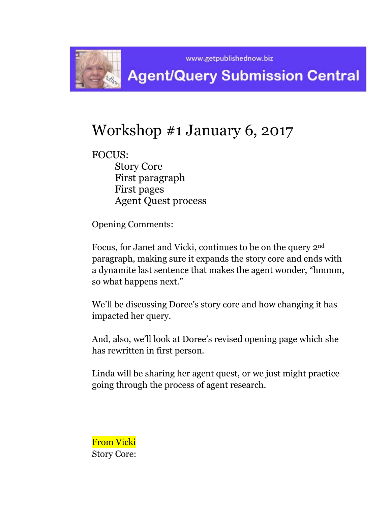

# Workshop #1 January 6, 2017

FOCUS: Story Core First paragraph First pages Agent Quest process

Opening Comments:

Focus, for Janet and Vicki, continues to be on the query 2nd paragraph, making sure it expands the story core and ends with a dynamite last sentence that makes the agent wonder, "hmmm, so what happens next."

We'll be discussing Doree's story core and how changing it has impacted her query.

And, also, we'll look at Doree's revised opening page which she has rewritten in first person.

Linda will be sharing her agent quest, or we just might practice going through the process of agent research.

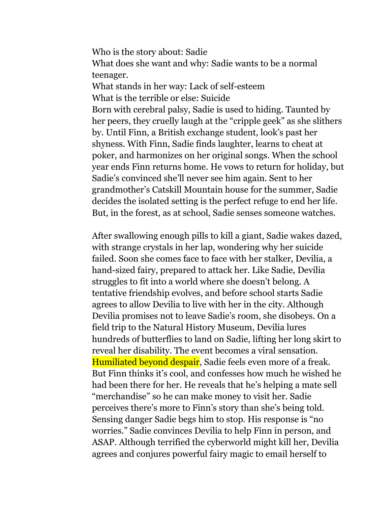Who is the story about: Sadie What does she want and why: Sadie wants to be a normal teenager. What stands in her way: Lack of self-esteem What is the terrible or else: Suicide Born with cerebral palsy, Sadie is used to hiding. Taunted by her peers, they cruelly laugh at the "cripple geek" as she slithers by. Until Finn, a British exchange student, look's past her shyness. With Finn, Sadie finds laughter, learns to cheat at poker, and harmonizes on her original songs. When the school year ends Finn returns home. He vows to return for holiday, but Sadie's convinced she'll never see him again. Sent to her grandmother's Catskill Mountain house for the summer, Sadie decides the isolated setting is the perfect refuge to end her life. But, in the forest, as at school, Sadie senses someone watches.

After swallowing enough pills to kill a giant, Sadie wakes dazed, with strange crystals in her lap, wondering why her suicide failed. Soon she comes face to face with her stalker, Devilia, a hand-sized fairy, prepared to attack her. Like Sadie, Devilia struggles to fit into a world where she doesn't belong. A tentative friendship evolves, and before school starts Sadie agrees to allow Devilia to live with her in the city. Although Devilia promises not to leave Sadie's room, she disobeys. On a field trip to the Natural History Museum, Devilia lures hundreds of butterflies to land on Sadie, lifting her long skirt to reveal her disability. The event becomes a viral sensation. Humiliated beyond despair, Sadie feels even more of a freak. But Finn thinks it's cool, and confesses how much he wished he had been there for her. He reveals that he's helping a mate sell "merchandise" so he can make money to visit her. Sadie perceives there's more to Finn's story than she's being told. Sensing danger Sadie begs him to stop. His response is "no worries." Sadie convinces Devilia to help Finn in person, and ASAP. Although terrified the cyberworld might kill her, Devilia agrees and conjures powerful fairy magic to email herself to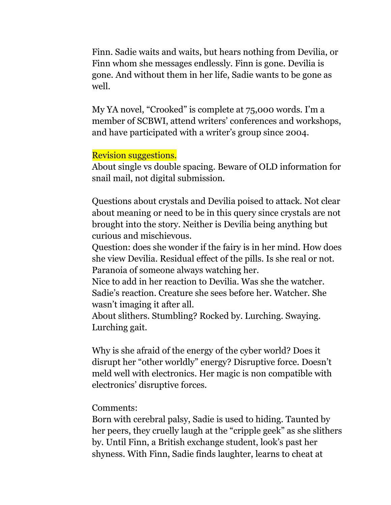Finn. Sadie waits and waits, but hears nothing from Devilia, or Finn whom she messages endlessly. Finn is gone. Devilia is gone. And without them in her life, Sadie wants to be gone as well.

My YA novel, "Crooked" is complete at 75,000 words. I'm a member of SCBWI, attend writers' conferences and workshops, and have participated with a writer's group since 2004.

## Revision suggestions.

About single vs double spacing. Beware of OLD information for snail mail, not digital submission.

Questions about crystals and Devilia poised to attack. Not clear about meaning or need to be in this query since crystals are not brought into the story. Neither is Devilia being anything but curious and mischievous.

Question: does she wonder if the fairy is in her mind. How does she view Devilia. Residual effect of the pills. Is she real or not. Paranoia of someone always watching her.

Nice to add in her reaction to Devilia. Was she the watcher. Sadie's reaction. Creature she sees before her. Watcher. She wasn't imaging it after all.

About slithers. Stumbling? Rocked by. Lurching. Swaying. Lurching gait.

Why is she afraid of the energy of the cyber world? Does it disrupt her "other worldly" energy? Disruptive force. Doesn't meld well with electronics. Her magic is non compatible with electronics' disruptive forces.

#### Comments:

Born with cerebral palsy, Sadie is used to hiding. Taunted by her peers, they cruelly laugh at the "cripple geek" as she slithers by. Until Finn, a British exchange student, look's past her shyness. With Finn, Sadie finds laughter, learns to cheat at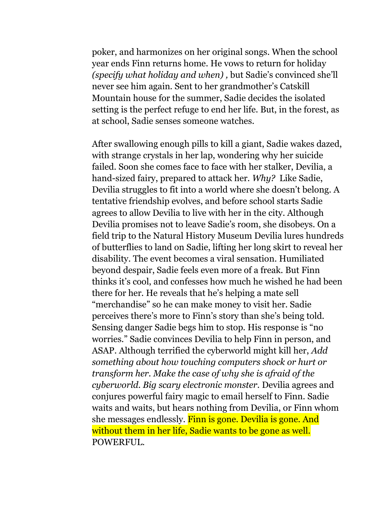poker, and harmonizes on her original songs. When the school year ends Finn returns home. He vows to return for holiday *(specify what holiday and when) ,* but Sadie's convinced she'll never see him again. Sent to her grandmother's Catskill Mountain house for the summer, Sadie decides the isolated setting is the perfect refuge to end her life. But, in the forest, as at school, Sadie senses someone watches.

After swallowing enough pills to kill a giant, Sadie wakes dazed, with strange crystals in her lap, wondering why her suicide failed. Soon she comes face to face with her stalker, Devilia, a hand-sized fairy, prepared to attack her. *Why?* Like Sadie, Devilia struggles to fit into a world where she doesn't belong. A tentative friendship evolves, and before school starts Sadie agrees to allow Devilia to live with her in the city. Although Devilia promises not to leave Sadie's room, she disobeys. On a field trip to the Natural History Museum Devilia lures hundreds of butterflies to land on Sadie, lifting her long skirt to reveal her disability. The event becomes a viral sensation. Humiliated beyond despair, Sadie feels even more of a freak. But Finn thinks it's cool, and confesses how much he wished he had been there for her. He reveals that he's helping a mate sell "merchandise" so he can make money to visit her. Sadie perceives there's more to Finn's story than she's being told. Sensing danger Sadie begs him to stop. His response is "no worries." Sadie convinces Devilia to help Finn in person, and ASAP. Although terrified the cyberworld might kill her, *Add something about how touching computers shock or hurt or transform her. Make the case of why she is afraid of the cyberworld. Big scary electronic monster.* Devilia agrees and conjures powerful fairy magic to email herself to Finn. Sadie waits and waits, but hears nothing from Devilia, or Finn whom she messages endlessly. Finn is gone. Devilia is gone. And without them in her life, Sadie wants to be gone as well. POWERFUL.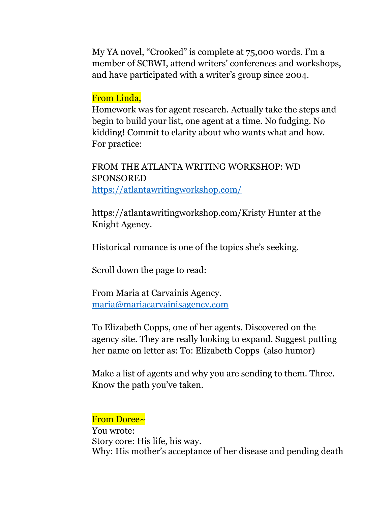My YA novel, "Crooked" is complete at 75,000 words. I'm a member of SCBWI, attend writers' conferences and workshops, and have participated with a writer's group since 2004.

## From Linda,

Homework was for agent research. Actually take the steps and begin to build your list, one agent at a time. No fudging. No kidding! Commit to clarity about who wants what and how. For practice:

FROM THE ATLANTA WRITING WORKSHOP: WD SPONSORED <https://atlantawritingworkshop.com/>

https://atlantawritingworkshop.com/Kristy Hunter at the Knight Agency.

Historical romance is one of the topics she's seeking.

Scroll down the page to read:

From Maria at Carvainis Agency. [maria@mariacarvainisagency.com](mailto:maria@mariacarvainisagency.com)

To Elizabeth Copps, one of her agents. Discovered on the agency site. They are really looking to expand. Suggest putting her name on letter as: To: Elizabeth Copps (also humor)

Make a list of agents and why you are sending to them. Three. Know the path you've taken.

#### From Doree~

You wrote: Story core: His life, his way. Why: His mother's acceptance of her disease and pending death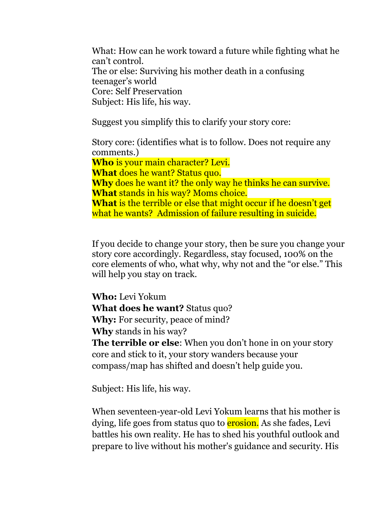What: How can he work toward a future while fighting what he can't control. The or else: Surviving his mother death in a confusing teenager's world Core: Self Preservation Subject: His life, his way.

Suggest you simplify this to clarify your story core:

Story core: (identifies what is to follow. Does not require any comments.) **Who** is your main character? Levi. **What** does he want? Status quo. **Why** does he want it? the only way he thinks he can survive. **What** stands in his way? Moms choice. **What** is the terrible or else that might occur if he doesn't get what he wants? Admission of failure resulting in suicide.

If you decide to change your story, then be sure you change your story core accordingly. Regardless, stay focused, 100% on the core elements of who, what why, why not and the "or else." This will help you stay on track.

**Who:** Levi Yokum **What does he want?** Status quo? **Why:** For security, peace of mind? **Why** stands in his way?

**The terrible or else**: When you don't hone in on your story core and stick to it, your story wanders because your compass/map has shifted and doesn't help guide you.

Subject: His life, his way.

When seventeen-year-old Levi Yokum learns that his mother is dying, life goes from status quo to **erosion.** As she fades, Levi battles his own reality. He has to shed his youthful outlook and prepare to live without his mother's guidance and security. His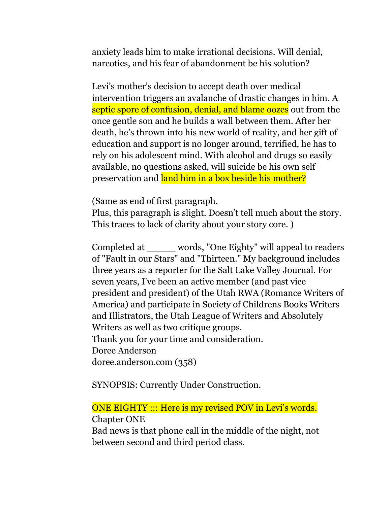anxiety leads him to make irrational decisions. Will denial, narcotics, and his fear of abandonment be his solution?

Levi's mother's decision to accept death over medical intervention triggers an avalanche of drastic changes in him. A septic spore of confusion, denial, and blame oozes out from the once gentle son and he builds a wall between them. After her death, he's thrown into his new world of reality, and her gift of education and support is no longer around, terrified, he has to rely on his adolescent mind. With alcohol and drugs so easily available, no questions asked, will suicide be his own self preservation and land him in a box beside his mother?

(Same as end of first paragraph.

Plus, this paragraph is slight. Doesn't tell much about the story. This traces to lack of clarity about your story core. )

Completed at \_\_\_\_\_ words, "One Eighty" will appeal to readers of "Fault in our Stars" and "Thirteen." My background includes three years as a reporter for the Salt Lake Valley Journal. For seven years, I've been an active member (and past vice president and president) of the Utah RWA (Romance Writers of America) and participate in Society of Childrens Books Writers and Illistrators, the Utah League of Writers and Absolutely Writers as well as two critique groups. Thank you for your time and consideration. Doree Anderson doree.anderson.com (358)

SYNOPSIS: Currently Under Construction.

# ONE EIGHTY ::: Here is my revised POV in Levi's words. Chapter ONE

Bad news is that phone call in the middle of the night, not between second and third period class.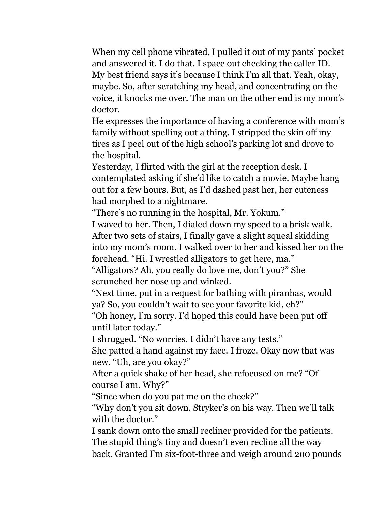When my cell phone vibrated, I pulled it out of my pants' pocket and answered it. I do that. I space out checking the caller ID. My best friend says it's because I think I'm all that. Yeah, okay, maybe. So, after scratching my head, and concentrating on the voice, it knocks me over. The man on the other end is my mom's doctor.

He expresses the importance of having a conference with mom's family without spelling out a thing. I stripped the skin off my tires as I peel out of the high school's parking lot and drove to the hospital.

Yesterday, I flirted with the girl at the reception desk. I contemplated asking if she'd like to catch a movie. Maybe hang out for a few hours. But, as I'd dashed past her, her cuteness had morphed to a nightmare.

"There's no running in the hospital, Mr. Yokum."

I waved to her. Then, I dialed down my speed to a brisk walk. After two sets of stairs, I finally gave a slight squeal skidding into my mom's room. I walked over to her and kissed her on the forehead. "Hi. I wrestled alligators to get here, ma."

"Alligators? Ah, you really do love me, don't you?" She scrunched her nose up and winked.

"Next time, put in a request for bathing with piranhas, would ya? So, you couldn't wait to see your favorite kid, eh?"

"Oh honey, I'm sorry. I'd hoped this could have been put off until later today."

I shrugged. "No worries. I didn't have any tests."

She patted a hand against my face. I froze. Okay now that was new. "Uh, are you okay?"

After a quick shake of her head, she refocused on me? "Of course I am. Why?"

"Since when do you pat me on the cheek?"

"Why don't you sit down. Stryker's on his way. Then we'll talk with the doctor."

I sank down onto the small recliner provided for the patients. The stupid thing's tiny and doesn't even recline all the way back. Granted I'm six-foot-three and weigh around 200 pounds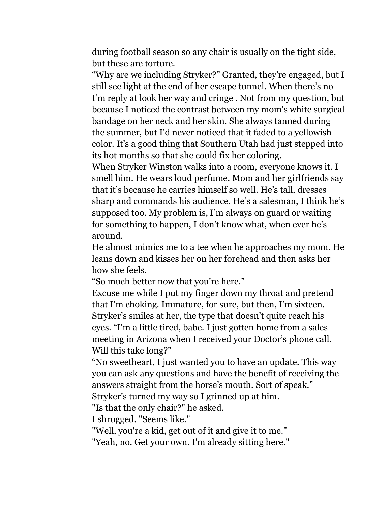during football season so any chair is usually on the tight side, but these are torture.

"Why are we including Stryker?" Granted, they're engaged, but I still see light at the end of her escape tunnel. When there's no I'm reply at look her way and cringe . Not from my question, but because I noticed the contrast between my mom's white surgical bandage on her neck and her skin. She always tanned during the summer, but I'd never noticed that it faded to a yellowish color. It's a good thing that Southern Utah had just stepped into its hot months so that she could fix her coloring.

When Stryker Winston walks into a room, everyone knows it. I smell him. He wears loud perfume. Mom and her girlfriends say that it's because he carries himself so well. He's tall, dresses sharp and commands his audience. He's a salesman, I think he's supposed too. My problem is, I'm always on guard or waiting for something to happen, I don't know what, when ever he's around.

He almost mimics me to a tee when he approaches my mom. He leans down and kisses her on her forehead and then asks her how she feels.

"So much better now that you're here."

Excuse me while I put my finger down my throat and pretend that I'm choking. Immature, for sure, but then, I'm sixteen. Stryker's smiles at her, the type that doesn't quite reach his eyes. "I'm a little tired, babe. I just gotten home from a sales meeting in Arizona when I received your Doctor's phone call. Will this take long?"

"No sweetheart, I just wanted you to have an update. This way you can ask any questions and have the benefit of receiving the answers straight from the horse's mouth. Sort of speak." Stryker's turned my way so I grinned up at him.

"Is that the only chair?" he asked.

I shrugged. "Seems like."

"Well, you're a kid, get out of it and give it to me."

"Yeah, no. Get your own. I'm already sitting here."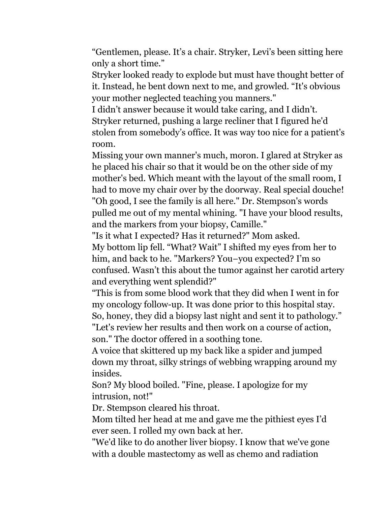"Gentlemen, please. It's a chair. Stryker, Levi's been sitting here only a short time."

Stryker looked ready to explode but must have thought better of it. Instead, he bent down next to me, and growled. "It's obvious your mother neglected teaching you manners."

I didn't answer because it would take caring, and I didn't. Stryker returned, pushing a large recliner that I figured he'd stolen from somebody's office. It was way too nice for a patient's room.

Missing your own manner's much, moron. I glared at Stryker as he placed his chair so that it would be on the other side of my mother's bed. Which meant with the layout of the small room, I had to move my chair over by the doorway. Real special douche! "Oh good, I see the family is all here." Dr. Stempson's words pulled me out of my mental whining. "I have your blood results, and the markers from your biopsy, Camille."

"Is it what I expected? Has it returned?" Mom asked. My bottom lip fell. "What? Wait" I shifted my eyes from her to him, and back to he. "Markers? You−you expected? I'm so confused. Wasn't this about the tumor against her carotid artery and everything went splendid?"

"This is from some blood work that they did when I went in for my oncology follow-up. It was done prior to this hospital stay. So, honey, they did a biopsy last night and sent it to pathology." "Let's review her results and then work on a course of action,

son." The doctor offered in a soothing tone.

A voice that skittered up my back like a spider and jumped down my throat, silky strings of webbing wrapping around my insides.

Son? My blood boiled. "Fine, please. I apologize for my intrusion, not!"

Dr. Stempson cleared his throat.

Mom tilted her head at me and gave me the pithiest eyes I'd ever seen. I rolled my own back at her.

"We'd like to do another liver biopsy. I know that we've gone with a double mastectomy as well as chemo and radiation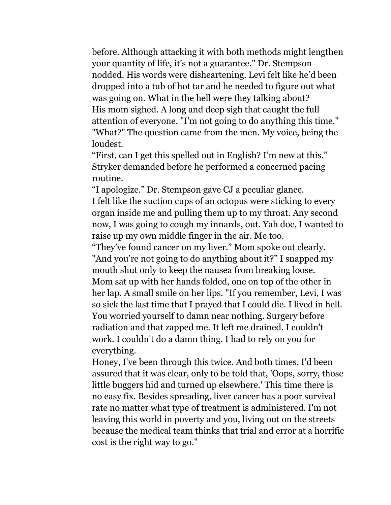before. Although attacking it with both methods might lengthen your quantity of life, it's not a guarantee." Dr. Stempson nodded. His words were disheartening. Levi felt like he'd been dropped into a tub of hot tar and he needed to figure out what was going on. What in the hell were they talking about? His mom sighed. A long and deep sigh that caught the full attention of everyone. "I'm not going to do anything this time." "What?" The question came from the men. My voice, being the loudest.

"First, can I get this spelled out in English? I'm new at this." Stryker demanded before he performed a concerned pacing routine.

"I apologize." Dr. Stempson gave CJ a peculiar glance. I felt like the suction cups of an octopus were sticking to every organ inside me and pulling them up to my throat. Any second now, I was going to cough my innards, out. Yah doc, I wanted to raise up my own middle finger in the air. Me too.

"They've found cancer on my liver." Mom spoke out clearly. "And you're not going to do anything about it?" I snapped my mouth shut only to keep the nausea from breaking loose. Mom sat up with her hands folded, one on top of the other in her lap. A small smile on her lips. "If you remember, Levi, I was so sick the last time that I prayed that I could die. I lived in hell. You worried yourself to damn near nothing. Surgery before radiation and that zapped me. It left me drained. I couldn't work. I couldn't do a damn thing. I had to rely on you for everything.

Honey, I've been through this twice. And both times, I'd been assured that it was clear, only to be told that, 'Oops, sorry, those little buggers hid and turned up elsewhere.' This time there is no easy fix. Besides spreading, liver cancer has a poor survival rate no matter what type of treatment is administered. I'm not leaving this world in poverty and you, living out on the streets because the medical team thinks that trial and error at a horrific cost is the right way to go."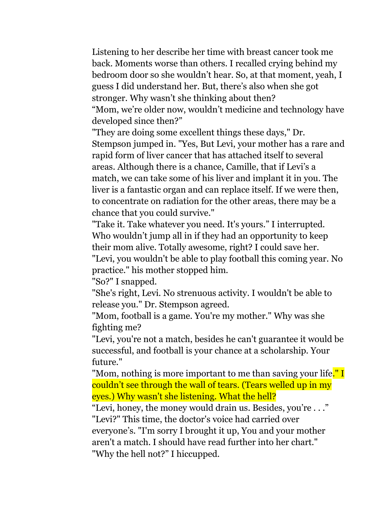Listening to her describe her time with breast cancer took me back. Moments worse than others. I recalled crying behind my bedroom door so she wouldn't hear. So, at that moment, yeah, I guess I did understand her. But, there's also when she got stronger. Why wasn't she thinking about then? "Mom, we're older now, wouldn't medicine and technology have developed since then?"

"They are doing some excellent things these days," Dr. Stempson jumped in. "Yes, But Levi, your mother has a rare and rapid form of liver cancer that has attached itself to several areas. Although there is a chance, Camille, that if Levi's a match, we can take some of his liver and implant it in you. The liver is a fantastic organ and can replace itself. If we were then, to concentrate on radiation for the other areas, there may be a chance that you could survive."

"Take it. Take whatever you need. It's yours." I interrupted. Who wouldn't jump all in if they had an opportunity to keep their mom alive. Totally awesome, right? I could save her. "Levi, you wouldn't be able to play football this coming year. No

practice." his mother stopped him.

"So?" I snapped.

"She's right, Levi. No strenuous activity. I wouldn't be able to release you." Dr. Stempson agreed.

"Mom, football is a game. You're my mother." Why was she fighting me?

"Levi, you're not a match, besides he can't guarantee it would be successful, and football is your chance at a scholarship. Your future."

"Mom, nothing is more important to me than saving your life." I couldn't see through the wall of tears. (Tears welled up in my eyes.) Why wasn't she listening. What the hell?

"Levi, honey, the money would drain us. Besides, you're . . ." "Levi?" This time, the doctor's voice had carried over

everyone's. "I'm sorry I brought it up, You and your mother aren't a match. I should have read further into her chart." "Why the hell not?" I hiccupped.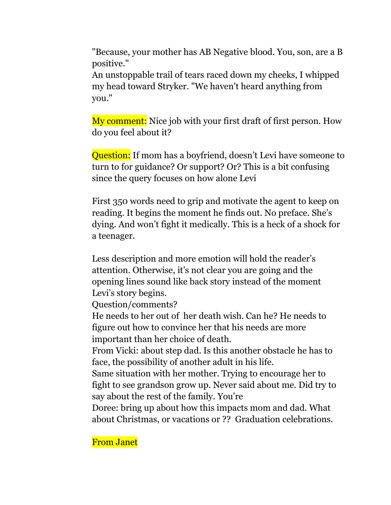"Because, your mother has AB Negative blood. You, son, are a B positive."

An unstoppable trail of tears raced down my cheeks, I whipped my head toward Stryker. "We haven't heard anything from you."

My comment: Nice job with your first draft of first person. How do you feel about it?

Question: If mom has a boyfriend, doesn't Levi have someone to turn to for guidance? Or support? Or? This is a bit confusing since the query focuses on how alone Levi

First 350 words need to grip and motivate the agent to keep on reading. It begins the moment he finds out. No preface. She's dying. And won't fight it medically. This is a heck of a shock for a teenager.

Less description and more emotion will hold the reader's attention. Otherwise, it's not clear you are going and the opening lines sound like back story instead of the moment Levi's story begins.

Question/comments?

He needs to her out of her death wish. Can he? He needs to figure out how to convince her that his needs are more important than her choice of death.

From Vicki: about step dad. Is this another obstacle he has to face, the possibility of another adult in his life.

Same situation with her mother. Trying to encourage her to fight to see grandson grow up. Never said about me. Did try to say about the rest of the family. You're

Doree: bring up about how this impacts mom and dad. What about Christmas, or vacations or ?? Graduation celebrations.

From Janet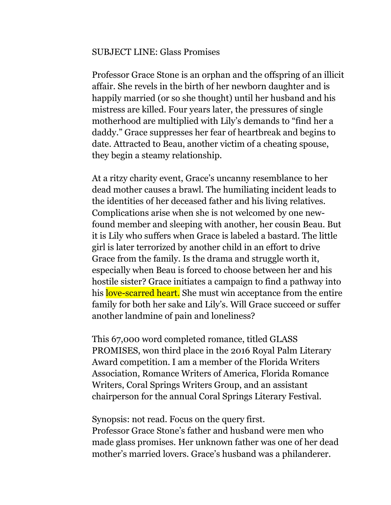#### SUBJECT LINE: Glass Promises

Professor Grace Stone is an orphan and the offspring of an illicit affair. She revels in the birth of her newborn daughter and is happily married (or so she thought) until her husband and his mistress are killed. Four years later, the pressures of single motherhood are multiplied with Lily's demands to "find her a daddy." Grace suppresses her fear of heartbreak and begins to date. Attracted to Beau, another victim of a cheating spouse, they begin a steamy relationship.

At a ritzy charity event, Grace's uncanny resemblance to her dead mother causes a brawl. The humiliating incident leads to the identities of her deceased father and his living relatives. Complications arise when she is not welcomed by one newfound member and sleeping with another, her cousin Beau. But it is Lily who suffers when Grace is labeled a bastard. The little girl is later terrorized by another child in an effort to drive Grace from the family. Is the drama and struggle worth it, especially when Beau is forced to choose between her and his hostile sister? Grace initiates a campaign to find a pathway into his love-scarred heart. She must win acceptance from the entire family for both her sake and Lily's. Will Grace succeed or suffer another landmine of pain and loneliness?

This 67,000 word completed romance, titled GLASS PROMISES, won third place in the 2016 Royal Palm Literary Award competition. I am a member of the Florida Writers Association, Romance Writers of America, Florida Romance Writers, Coral Springs Writers Group, and an assistant chairperson for the annual Coral Springs Literary Festival.

Synopsis: not read. Focus on the query first. Professor Grace Stone's father and husband were men who made glass promises. Her unknown father was one of her dead mother's married lovers. Grace's husband was a philanderer.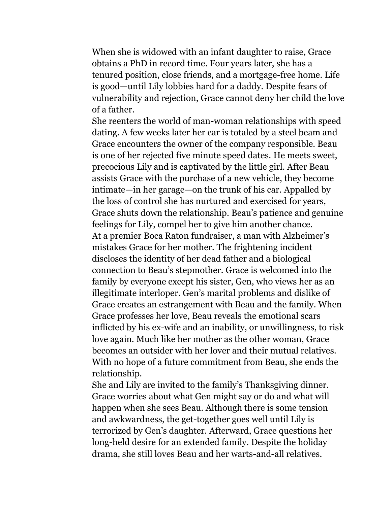When she is widowed with an infant daughter to raise, Grace obtains a PhD in record time. Four years later, she has a tenured position, close friends, and a mortgage-free home. Life is good—until Lily lobbies hard for a daddy. Despite fears of vulnerability and rejection, Grace cannot deny her child the love of a father.

She reenters the world of man-woman relationships with speed dating. A few weeks later her car is totaled by a steel beam and Grace encounters the owner of the company responsible. Beau is one of her rejected five minute speed dates. He meets sweet, precocious Lily and is captivated by the little girl. After Beau assists Grace with the purchase of a new vehicle, they become intimate—in her garage—on the trunk of his car. Appalled by the loss of control she has nurtured and exercised for years, Grace shuts down the relationship. Beau's patience and genuine feelings for Lily, compel her to give him another chance. At a premier Boca Raton fundraiser, a man with Alzheimer's mistakes Grace for her mother. The frightening incident discloses the identity of her dead father and a biological connection to Beau's stepmother. Grace is welcomed into the family by everyone except his sister, Gen, who views her as an illegitimate interloper. Gen's marital problems and dislike of Grace creates an estrangement with Beau and the family. When Grace professes her love, Beau reveals the emotional scars inflicted by his ex-wife and an inability, or unwillingness, to risk love again. Much like her mother as the other woman, Grace becomes an outsider with her lover and their mutual relatives. With no hope of a future commitment from Beau, she ends the relationship.

She and Lily are invited to the family's Thanksgiving dinner. Grace worries about what Gen might say or do and what will happen when she sees Beau. Although there is some tension and awkwardness, the get-together goes well until Lily is terrorized by Gen's daughter. Afterward, Grace questions her long-held desire for an extended family. Despite the holiday drama, she still loves Beau and her warts-and-all relatives.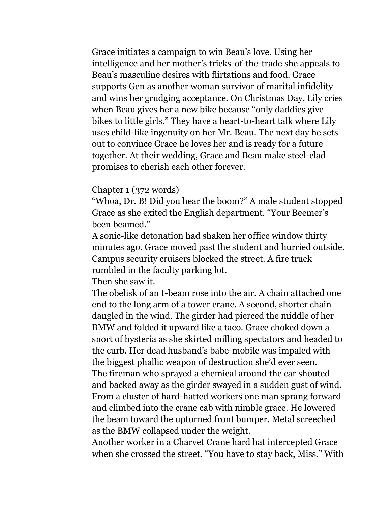Grace initiates a campaign to win Beau's love. Using her intelligence and her mother's tricks-of-the-trade she appeals to Beau's masculine desires with flirtations and food. Grace supports Gen as another woman survivor of marital infidelity and wins her grudging acceptance. On Christmas Day, Lily cries when Beau gives her a new bike because "only daddies give bikes to little girls." They have a heart-to-heart talk where Lily uses child-like ingenuity on her Mr. Beau. The next day he sets out to convince Grace he loves her and is ready for a future together. At their wedding, Grace and Beau make steel-clad promises to cherish each other forever.

## Chapter 1 (372 words)

"Whoa, Dr. B! Did you hear the boom?" A male student stopped Grace as she exited the English department. "Your Beemer's been beamed."

A sonic-like detonation had shaken her office window thirty minutes ago. Grace moved past the student and hurried outside. Campus security cruisers blocked the street. A fire truck rumbled in the faculty parking lot.

Then she saw it.

The obelisk of an I-beam rose into the air. A chain attached one end to the long arm of a tower crane. A second, shorter chain dangled in the wind. The girder had pierced the middle of her BMW and folded it upward like a taco. Grace choked down a snort of hysteria as she skirted milling spectators and headed to the curb. Her dead husband's babe-mobile was impaled with the biggest phallic weapon of destruction she'd ever seen. The fireman who sprayed a chemical around the car shouted and backed away as the girder swayed in a sudden gust of wind. From a cluster of hard-hatted workers one man sprang forward and climbed into the crane cab with nimble grace. He lowered the beam toward the upturned front bumper. Metal screeched as the BMW collapsed under the weight.

Another worker in a Charvet Crane hard hat intercepted Grace when she crossed the street. "You have to stay back, Miss." With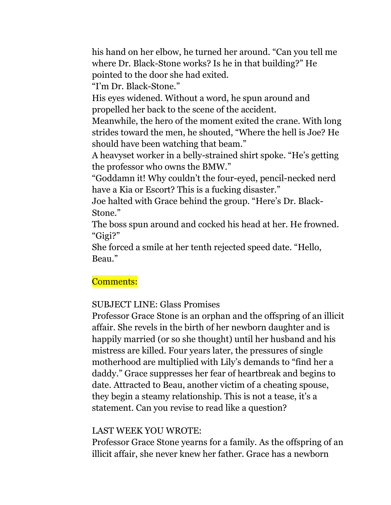his hand on her elbow, he turned her around. "Can you tell me where Dr. Black-Stone works? Is he in that building?" He pointed to the door she had exited.

"I'm Dr. Black-Stone."

His eyes widened. Without a word, he spun around and propelled her back to the scene of the accident.

Meanwhile, the hero of the moment exited the crane. With long strides toward the men, he shouted, "Where the hell is Joe? He should have been watching that beam."

A heavyset worker in a belly-strained shirt spoke. "He's getting the professor who owns the BMW."

"Goddamn it! Why couldn't the four-eyed, pencil-necked nerd have a Kia or Escort? This is a fucking disaster."

Joe halted with Grace behind the group. "Here's Dr. Black-Stone."

The boss spun around and cocked his head at her. He frowned. "Gigi?"

She forced a smile at her tenth rejected speed date. "Hello, Beau."

# Comments:

# SUBJECT LINE: Glass Promises

Professor Grace Stone is an orphan and the offspring of an illicit affair. She revels in the birth of her newborn daughter and is happily married (or so she thought) until her husband and his mistress are killed. Four years later, the pressures of single motherhood are multiplied with Lily's demands to "find her a daddy." Grace suppresses her fear of heartbreak and begins to date. Attracted to Beau, another victim of a cheating spouse, they begin a steamy relationship. This is not a tease, it's a statement. Can you revise to read like a question?

## LAST WEEK YOU WROTE:

Professor Grace Stone yearns for a family. As the offspring of an illicit affair, she never knew her father. Grace has a newborn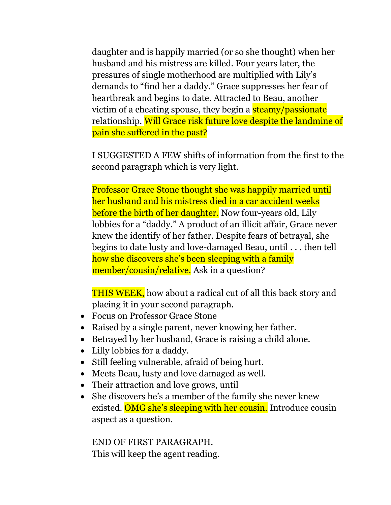daughter and is happily married (or so she thought) when her husband and his mistress are killed. Four years later, the pressures of single motherhood are multiplied with Lily's demands to "find her a daddy." Grace suppresses her fear of heartbreak and begins to date. Attracted to Beau, another victim of a cheating spouse, they begin a steamy/passionate relationship. Will Grace risk future love despite the landmine of pain she suffered in the past?

I SUGGESTED A FEW shifts of information from the first to the second paragraph which is very light.

Professor Grace Stone thought she was happily married until her husband and his mistress died in a car accident weeks before the birth of her daughter. Now four-years old, Lily lobbies for a "daddy." A product of an illicit affair, Grace never knew the identify of her father. Despite fears of betrayal, she begins to date lusty and love-damaged Beau, until . . . then tell how she discovers she's been sleeping with a family member/cousin/relative. Ask in a question?

THIS WEEK, how about a radical cut of all this back story and placing it in your second paragraph.

- Focus on Professor Grace Stone
- Raised by a single parent, never knowing her father.
- Betrayed by her husband, Grace is raising a child alone.
- Lilly lobbies for a daddy.
- Still feeling vulnerable, afraid of being hurt.
- Meets Beau, lusty and love damaged as well.
- Their attraction and love grows, until
- She discovers he's a member of the family she never knew existed. OMG she's sleeping with her cousin. Introduce cousin aspect as a question.

END OF FIRST PARAGRAPH. This will keep the agent reading.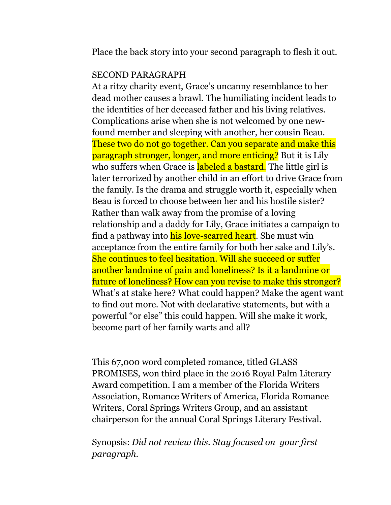Place the back story into your second paragraph to flesh it out.

#### SECOND PARAGRAPH

At a ritzy charity event, Grace's uncanny resemblance to her dead mother causes a brawl. The humiliating incident leads to the identities of her deceased father and his living relatives. Complications arise when she is not welcomed by one newfound member and sleeping with another, her cousin Beau. These two do not go together. Can you separate and make this paragraph stronger, longer, and more enticing? But it is Lily who suffers when Grace is labeled a bastard. The little girl is later terrorized by another child in an effort to drive Grace from the family. Is the drama and struggle worth it, especially when Beau is forced to choose between her and his hostile sister? Rather than walk away from the promise of a loving relationship and a daddy for Lily, Grace initiates a campaign to find a pathway into his love-scarred heart. She must win acceptance from the entire family for both her sake and Lily's. She continues to feel hesitation. Will she succeed or suffer another landmine of pain and loneliness? Is it a landmine or future of loneliness? How can you revise to make this stronger? What's at stake here? What could happen? Make the agent want to find out more. Not with declarative statements, but with a powerful "or else" this could happen. Will she make it work, become part of her family warts and all?

This 67,000 word completed romance, titled GLASS PROMISES, won third place in the 2016 Royal Palm Literary Award competition. I am a member of the Florida Writers Association, Romance Writers of America, Florida Romance Writers, Coral Springs Writers Group, and an assistant chairperson for the annual Coral Springs Literary Festival.

Synopsis: *Did not review this. Stay focused on your first paragraph.*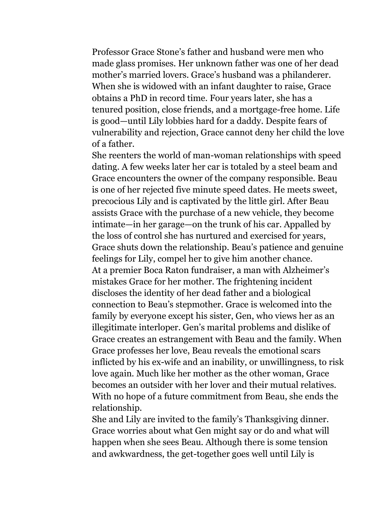Professor Grace Stone's father and husband were men who made glass promises. Her unknown father was one of her dead mother's married lovers. Grace's husband was a philanderer. When she is widowed with an infant daughter to raise, Grace obtains a PhD in record time. Four years later, she has a tenured position, close friends, and a mortgage-free home. Life is good—until Lily lobbies hard for a daddy. Despite fears of vulnerability and rejection, Grace cannot deny her child the love of a father.

She reenters the world of man-woman relationships with speed dating. A few weeks later her car is totaled by a steel beam and Grace encounters the owner of the company responsible. Beau is one of her rejected five minute speed dates. He meets sweet, precocious Lily and is captivated by the little girl. After Beau assists Grace with the purchase of a new vehicle, they become intimate—in her garage—on the trunk of his car. Appalled by the loss of control she has nurtured and exercised for years, Grace shuts down the relationship. Beau's patience and genuine feelings for Lily, compel her to give him another chance. At a premier Boca Raton fundraiser, a man with Alzheimer's mistakes Grace for her mother. The frightening incident discloses the identity of her dead father and a biological connection to Beau's stepmother. Grace is welcomed into the family by everyone except his sister, Gen, who views her as an illegitimate interloper. Gen's marital problems and dislike of Grace creates an estrangement with Beau and the family. When Grace professes her love, Beau reveals the emotional scars inflicted by his ex-wife and an inability, or unwillingness, to risk love again. Much like her mother as the other woman, Grace becomes an outsider with her lover and their mutual relatives. With no hope of a future commitment from Beau, she ends the relationship.

She and Lily are invited to the family's Thanksgiving dinner. Grace worries about what Gen might say or do and what will happen when she sees Beau. Although there is some tension and awkwardness, the get-together goes well until Lily is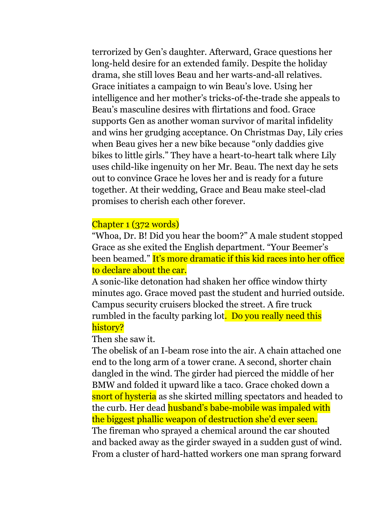terrorized by Gen's daughter. Afterward, Grace questions her long-held desire for an extended family. Despite the holiday drama, she still loves Beau and her warts-and-all relatives. Grace initiates a campaign to win Beau's love. Using her intelligence and her mother's tricks-of-the-trade she appeals to Beau's masculine desires with flirtations and food. Grace supports Gen as another woman survivor of marital infidelity and wins her grudging acceptance. On Christmas Day, Lily cries when Beau gives her a new bike because "only daddies give bikes to little girls." They have a heart-to-heart talk where Lily uses child-like ingenuity on her Mr. Beau. The next day he sets out to convince Grace he loves her and is ready for a future together. At their wedding, Grace and Beau make steel-clad promises to cherish each other forever.

#### Chapter 1 (372 words)

"Whoa, Dr. B! Did you hear the boom?" A male student stopped Grace as she exited the English department. "Your Beemer's been beamed." It's more dramatic if this kid races into her office to declare about the car.

A sonic-like detonation had shaken her office window thirty minutes ago. Grace moved past the student and hurried outside. Campus security cruisers blocked the street. A fire truck rumbled in the faculty parking lot. Do you really need this history?

Then she saw it.

The obelisk of an I-beam rose into the air. A chain attached one end to the long arm of a tower crane. A second, shorter chain dangled in the wind. The girder had pierced the middle of her BMW and folded it upward like a taco. Grace choked down a snort of hysteria as she skirted milling spectators and headed to the curb. Her dead husband's babe-mobile was impaled with the biggest phallic weapon of destruction she'd ever seen. The fireman who sprayed a chemical around the car shouted and backed away as the girder swayed in a sudden gust of wind. From a cluster of hard-hatted workers one man sprang forward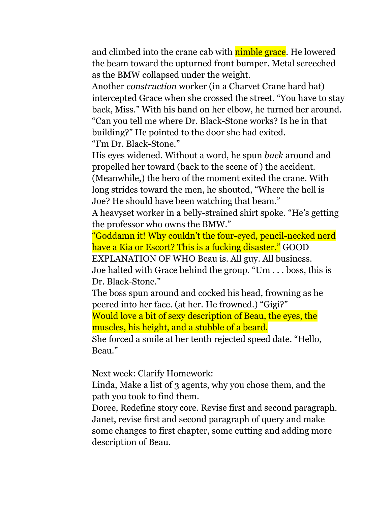and climbed into the crane cab with **nimble grace**. He lowered the beam toward the upturned front bumper. Metal screeched as the BMW collapsed under the weight.

Another *construction* worker (in a Charvet Crane hard hat) intercepted Grace when she crossed the street. "You have to stay back, Miss." With his hand on her elbow, he turned her around. "Can you tell me where Dr. Black-Stone works? Is he in that building?" He pointed to the door she had exited. "I'm Dr. Black-Stone."

His eyes widened. Without a word, he spun *back* around and propelled her toward (back to the scene of ) the accident. (Meanwhile,) the hero of the moment exited the crane. With long strides toward the men, he shouted, "Where the hell is Joe? He should have been watching that beam."

A heavyset worker in a belly-strained shirt spoke. "He's getting the professor who owns the BMW."

"Goddamn it! Why couldn't the four-eyed, pencil-necked nerd have a Kia or Escort? This is a fucking disaster." GOOD

EXPLANATION OF WHO Beau is. All guy. All business. Joe halted with Grace behind the group. "Um . . . boss, this is Dr. Black-Stone."

The boss spun around and cocked his head, frowning as he peered into her face. (at her. He frowned.) "Gigi?"

Would love a bit of sexy description of Beau, the eyes, the muscles, his height, and a stubble of a beard.

She forced a smile at her tenth rejected speed date. "Hello, Beau."

Next week: Clarify Homework:

Linda, Make a list of 3 agents, why you chose them, and the path you took to find them.

Doree, Redefine story core. Revise first and second paragraph. Janet, revise first and second paragraph of query and make some changes to first chapter, some cutting and adding more description of Beau.